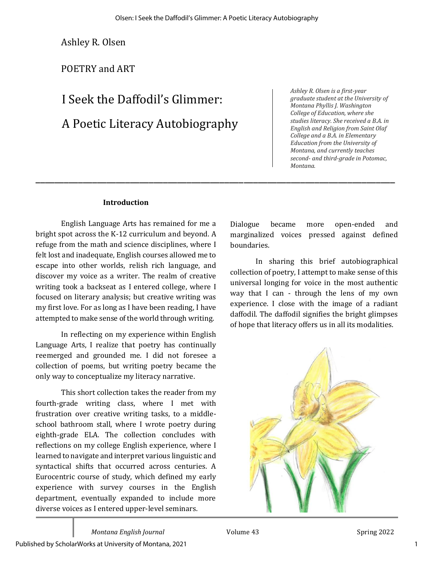\_\_\_\_\_\_\_\_\_\_\_\_\_\_\_\_\_\_\_\_\_\_\_\_\_\_\_\_\_\_\_\_\_\_\_\_\_\_\_\_\_\_\_\_\_\_\_\_\_\_\_\_\_\_\_\_\_\_\_\_\_\_\_\_\_\_\_\_\_\_\_\_\_\_\_\_

Ashley R. Olsen

POETRY and ART

# I Seek the Daffodil's Glimmer: A Poetic Literacy Autobiography

*Ashley R. Olsen is a first-year graduate student at the University of Montana Phyllis J. Washington College of Education, where she studies literacy. She received a B.A. in English and Religion from Saint Olaf College and a B.A. in Elementary Education from the University of Montana, and currently teaches second- and third-grade in Potomac, Montana.* 

#### **Introduction**

English Language Arts has remained for me a bright spot across the K-12 curriculum and beyond. A refuge from the math and science disciplines, where I felt lost and inadequate, English courses allowed me to escape into other worlds, relish rich language, and discover my voice as a writer. The realm of creative writing took a backseat as I entered college, where I focused on literary analysis; but creative writing was my first love. For as long as I have been reading, I have attempted to make sense of the world through writing.

In reflecting on my experience within English Language Arts, I realize that poetry has continually reemerged and grounded me. I did not foresee a collection of poems, but writing poetry became the only way to conceptualize my literacy narrative.

This short collection takes the reader from my fourth-grade writing class, where I met with frustration over creative writing tasks, to a middleschool bathroom stall, where I wrote poetry during eighth-grade ELA. The collection concludes with reflections on my college English experience, where I learned to navigate and interpret various linguistic and syntactical shifts that occurred across centuries. A Eurocentric course of study, which defined my early experience with survey courses in the English department, eventually expanded to include more diverse voices as I entered upper-level seminars.

Dialogue became more open-ended and marginalized voices pressed against defined boundaries.

In sharing this brief autobiographical collection of poetry, I attempt to make sense of this universal longing for voice in the most authentic way that I can - through the lens of my own experience. I close with the image of a radiant daffodil. The daffodil signifies the bright glimpses of hope that literacy offers us in all its modalities.

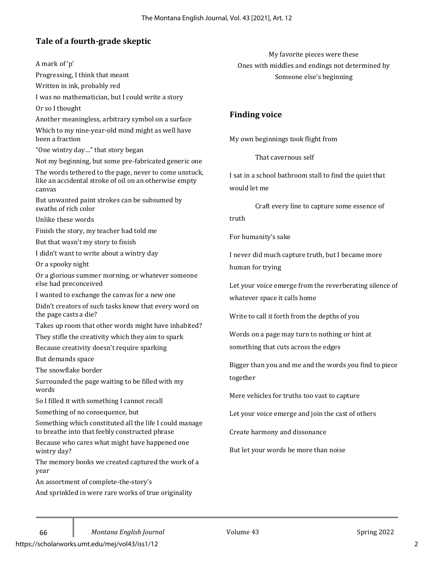## **Tale of a fourth-grade skeptic**

A mark of 'p' Progressing, I think that meant Written in ink, probably red I was no mathematician, but I could write a story Or so I thought Another meaningless, arbitrary symbol on a surface Which to my nine-year-old mind might as well have been a fraction "One wintry day…" that story began Not my beginning, but some pre-fabricated generic one The words tethered to the page, never to come unstuck, like an accidental stroke of oil on an otherwise empty canvas But unwanted paint strokes can be subsumed by swaths of rich color Unlike these words Finish the story, my teacher had told me But that wasn't my story to finish I didn't want to write about a wintry day Or a spooky night Or a glorious summer morning, or whatever someone else had preconceived I wanted to exchange the canvas for a new one Didn't creators of such tasks know that every word on the page casts a die? Takes up room that other words might have inhabited? They stifle the creativity which they aim to spark Because creativity doesn't require sparking But demands space The snowflake border Surrounded the page waiting to be filled with my words So I filled it with something I cannot recall Something of no consequence, but Something which constituted all the life I could manage to breathe into that feebly constructed phrase Because who cares what might have happened one wintry day? The memory books we created captured the work of a year An assortment of complete-the-story's And sprinkled in were rare works of true originality

66 *Montana English Journal* Volume 43 Spring 2022 https://scholarworks.umt.edu/mej/vol43/iss1/12

My favorite pieces were these Ones with middles and endings not determined by Someone else's beginning

### **Finding voice**

My own beginnings took flight from

That cavernous self

I sat in a school bathroom stall to find the quiet that would let me

Craft every line to capture some essence of truth

For humanity's sake

I never did much capture truth, but I became more human for trying

Let your voice emerge from the reverberating silence of whatever space it calls home

Write to call it forth from the depths of you

Words on a page may turn to nothing or hint at something that cuts across the edges

Bigger than you and me and the words you find to piece together

Mere vehicles for truths too vast to capture

Let your voice emerge and join the cast of others

Create harmony and dissonance

But let your words be more than noise

 $\mathfrak{p}$